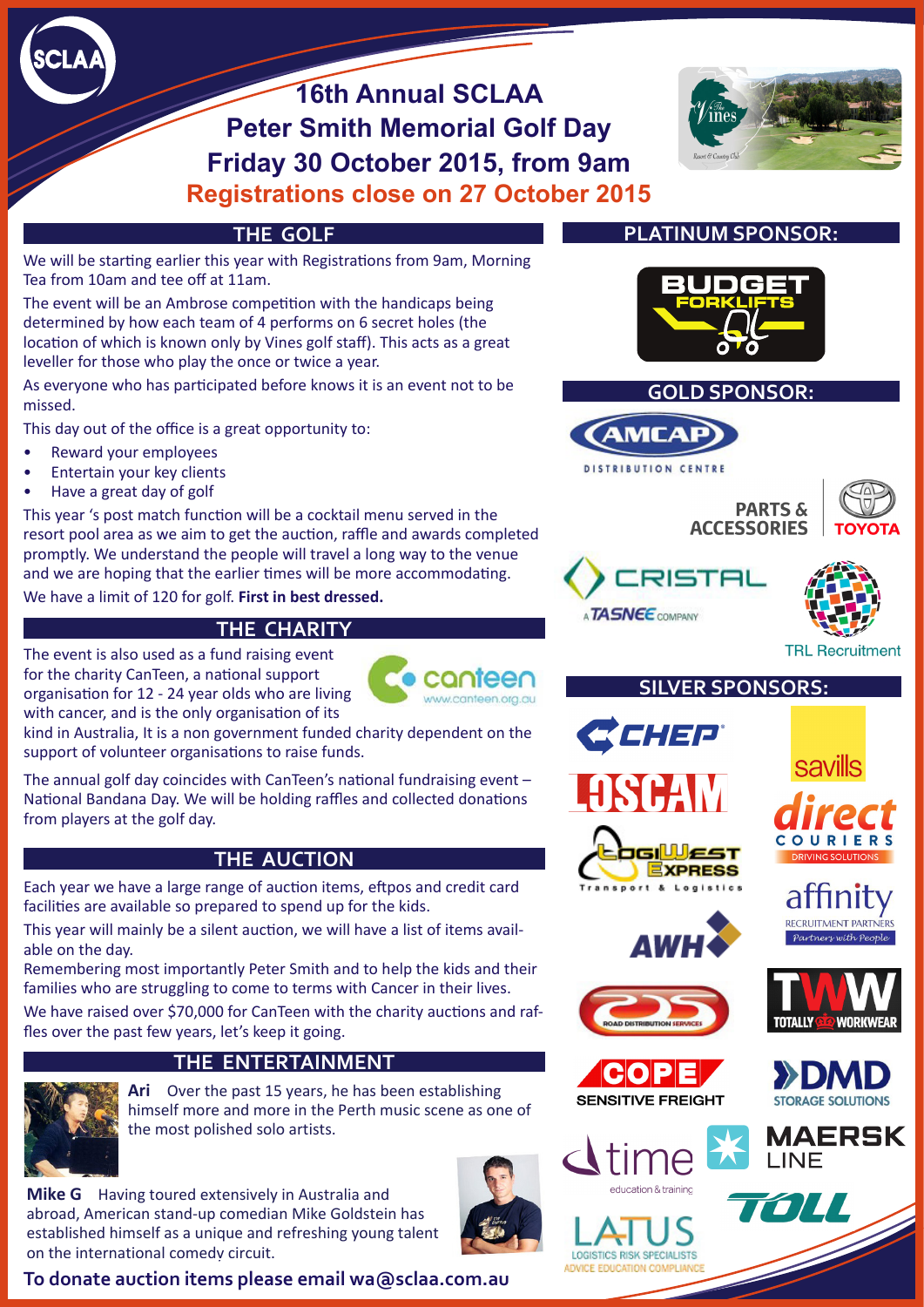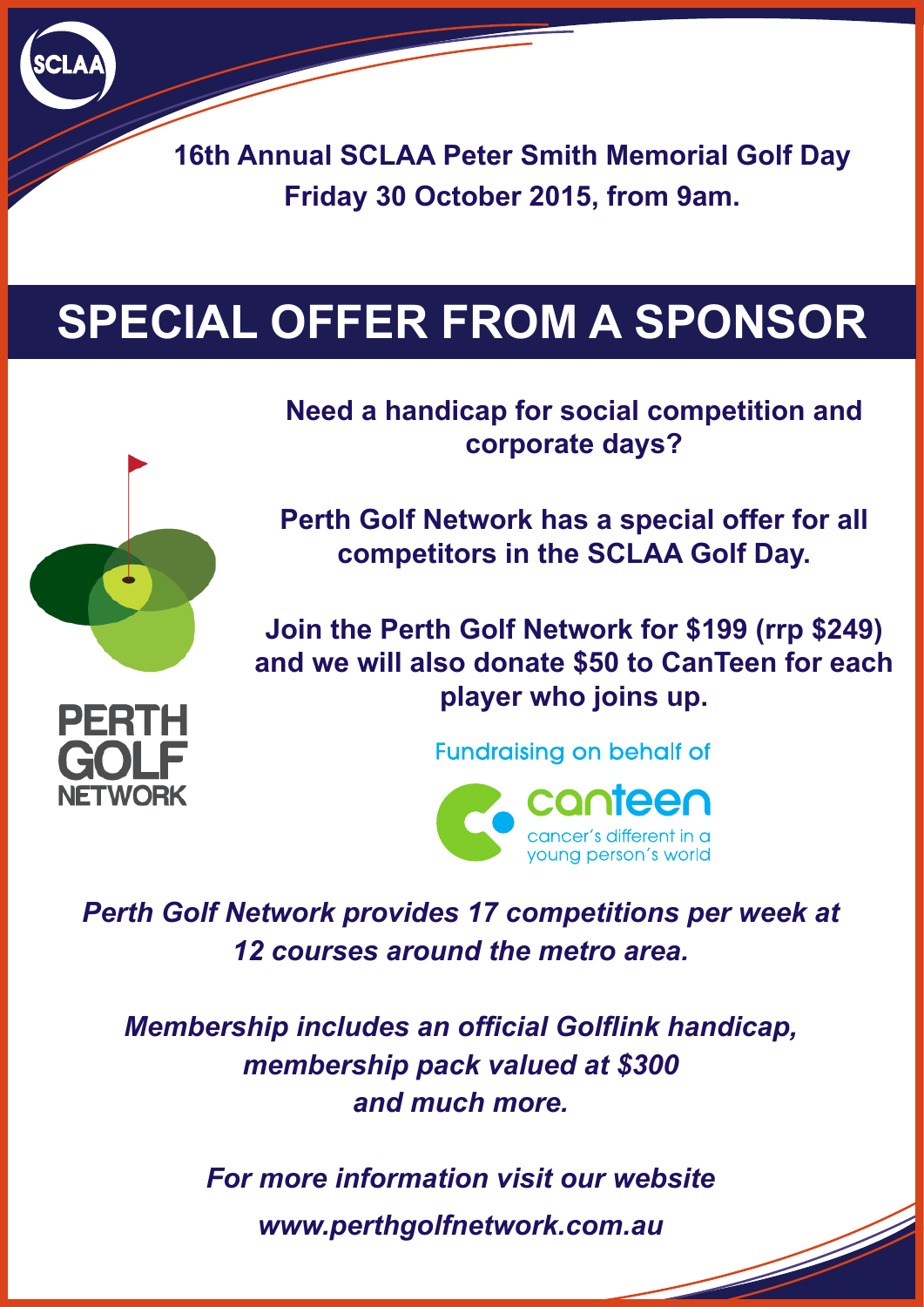**16th Annual SCLAA Peter Smith Memorial Golf Day Friday 30 October 2015, from 9am.**

## **SPECIAL OFFER FROM A SPONSOR**



ETWORK

**Need a handicap for social competition and corporate days?**

**Perth Golf Network has a special offer for all competitors in the SCLAA Golf Day.**

**Join the Perth Golf Network for \$199 (rrp \$249) and we will also donate \$50 to CanTeen for each player who joins up.**

**Fundraising on behalf of** 



*Perth Golf Network provides 17 competitions per week at 12 courses around the metro area.*

*Membership includes an official Golflink handicap, membership pack valued at \$300 and much more.*

> *For more information visit our website www.perthgolfnetwork.com.au*